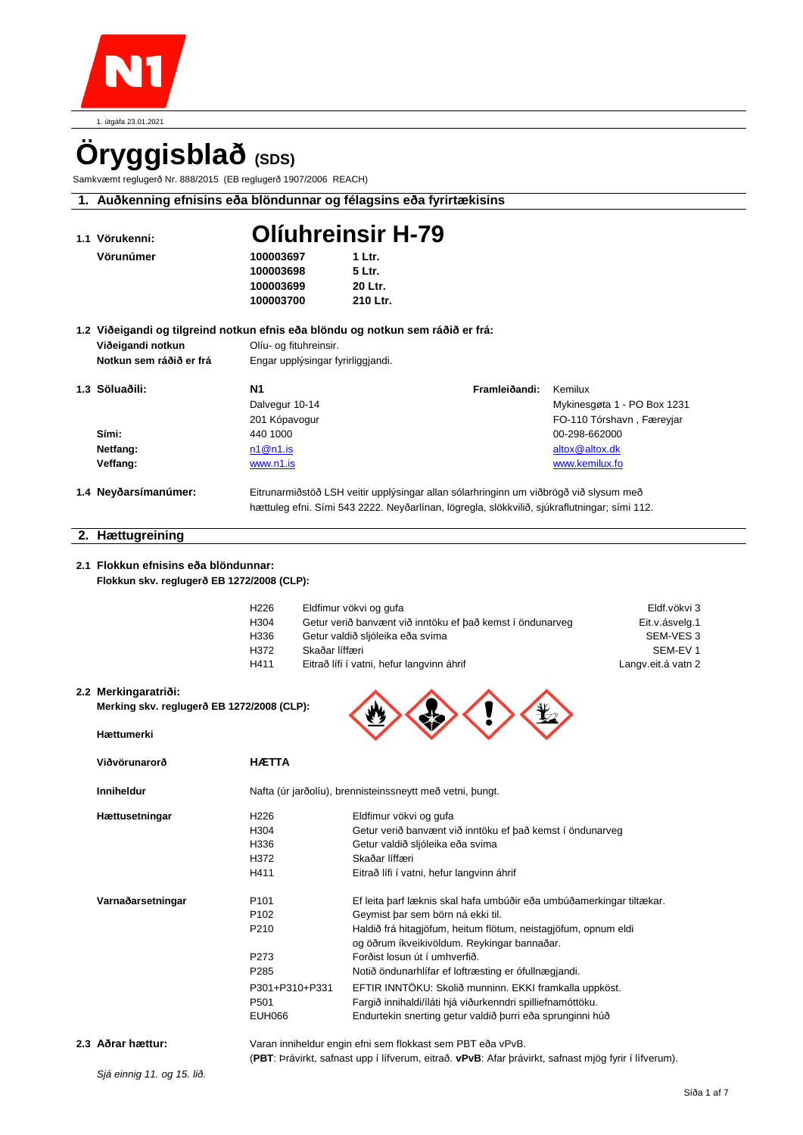

# **Öryggisblað (SDS)**

Samkvæmt reglugerð Nr. 888/2015 (EB reglugerð 1907/2006 REACH)

|--|

| 1.1 Vörukenni:                             |                                   | <b>Olíuhreinsir H-79</b>                                                                                      |                             |
|--------------------------------------------|-----------------------------------|---------------------------------------------------------------------------------------------------------------|-----------------------------|
| Vörunúmer                                  | 100003697                         | 1 Ltr.                                                                                                        |                             |
|                                            | 100003698                         | 5 Ltr.                                                                                                        |                             |
|                                            | 100003699                         | 20 Ltr.                                                                                                       |                             |
|                                            | 100003700                         | 210 Ltr.                                                                                                      |                             |
|                                            |                                   | 1.2 Viðeigandi og tilgreind notkun efnis eða blöndu og notkun sem ráðið er frá:                               |                             |
| Viðeigandi notkun                          | Olíu- og fituhreinsir.            |                                                                                                               |                             |
| Notkun sem ráðið er frá                    | Engar upplýsingar fyrirliggjandi. |                                                                                                               |                             |
| 1.3 Söluaðili:                             | <b>N1</b>                         | Framleiðandi:                                                                                                 | Kemilux                     |
|                                            | Dalvegur 10-14                    |                                                                                                               | Mykinesgøta 1 - PO Box 1231 |
|                                            | 201 Kópavogur                     |                                                                                                               | FO-110 Tórshavn, Færeyjar   |
| Sími:                                      | 440 1000                          |                                                                                                               | 00-298-662000               |
| Netfang:                                   | n1@n1.is                          |                                                                                                               | altox@altox.dk              |
| Veffang:                                   | www.n1.is                         |                                                                                                               | www.kemilux.fo              |
| 1.4 Neyðarsímanúmer:                       |                                   | Eitrunarmiðstöð LSH veitir upplýsingar allan sólarhringinn um viðbrögð við slysum með                         |                             |
|                                            |                                   | hættuleg efni. Sími 543 2222. Neyðarlínan, lögregla, slökkvilið, sjúkraflutningar; sími 112.                  |                             |
| 2. Hættugreining                           |                                   |                                                                                                               |                             |
|                                            |                                   |                                                                                                               |                             |
| 2.1 Flokkun efnisins eða blöndunnar:       |                                   |                                                                                                               |                             |
| Flokkun skv. reglugerð EB 1272/2008 (CLP): |                                   |                                                                                                               |                             |
|                                            | H <sub>226</sub>                  | Eldfimur vökvi og gufa                                                                                        | Eldf.vökvi 3                |
|                                            | H304                              | Getur verið banvænt við inntöku ef það kemst í öndunarveg                                                     | Eit.v.ásvelg.1              |
|                                            | H336                              | Getur valdið sljóleika eða svima                                                                              | SEM-VES 3                   |
|                                            | H372<br>Skaðar líffæri            |                                                                                                               | SEM-EV <sub>1</sub>         |
|                                            | H411                              | Eitrað lífi í vatni, hefur langvinn áhrif                                                                     | Langv.eit.á vatn 2          |
| 2.2 Merkingaratriði:                       |                                   |                                                                                                               |                             |
| Merking skv. reglugerð EB 1272/2008 (CLP): |                                   |                                                                                                               |                             |
| Hættumerki                                 |                                   |                                                                                                               |                             |
| Viðvörunarorð                              | <b>HÆTTA</b>                      |                                                                                                               |                             |
|                                            |                                   |                                                                                                               |                             |
| <b>Inniheldur</b>                          |                                   | Nafta (úr jarðolíu), brennisteinssneytt með vetni, þungt.                                                     |                             |
| Hættusetningar                             | H <sub>226</sub>                  | Eldfimur vökvi og gufa                                                                                        |                             |
|                                            | H304                              | Getur verið banvænt við inntöku ef það kemst í öndunarveg                                                     |                             |
|                                            | H336                              | Getur valdið sljóleika eða svima                                                                              |                             |
|                                            | H372<br>H411                      | Skaðar líffæri<br>Eitrað lífi í vatni, hefur langvinn áhrif                                                   |                             |
|                                            |                                   |                                                                                                               |                             |
| Varnaðarsetningar                          | P <sub>101</sub>                  | Ef leita þarf læknis skal hafa umbúðir eða umbúðamerkingar tiltækar.                                          |                             |
|                                            | P <sub>102</sub>                  | Geymist þar sem börn ná ekki til.                                                                             |                             |
|                                            | P210                              | Haldið frá hitagjöfum, heitum flötum, neistagjöfum, opnum eldi<br>og öðrum íkveikivöldum. Reykingar bannaðar. |                             |
|                                            | P273                              | Forðist losun út í umhverfið.                                                                                 |                             |
|                                            | P <sub>285</sub>                  | Notið öndunarhlífar ef loftræsting er ófullnægjandi.                                                          |                             |
|                                            | P301+P310+P331                    | EFTIR INNTÖKU: Skolið munninn. EKKI framkalla uppköst.                                                        |                             |
|                                            | P501                              | Fargið innihaldi/íláti hjá viðurkenndri spilliefnamóttöku.                                                    |                             |
|                                            | <b>EUH066</b>                     | Endurtekin snerting getur valdið þurri eða sprunginni húð                                                     |                             |
|                                            |                                   |                                                                                                               |                             |

**2.3 Aðrar hættur:** Varan inniheldur engin efni sem flokkast sem PBT eða vPvB. (**PBT**: Þrávirkt, safnast upp í lífverum, eitrað. **vPvB**: Afar þrávirkt, safnast mjög fyrir í lífverum).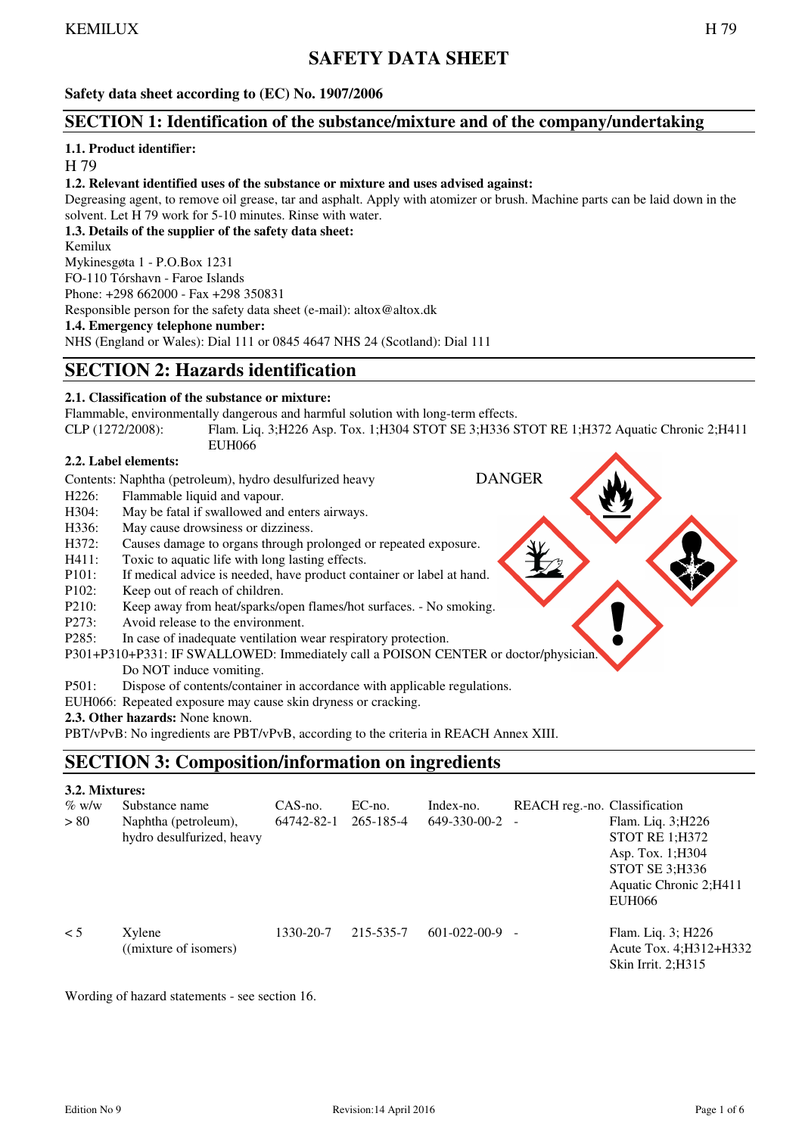# **SAFETY DATA SHEET**

**Safety data sheet according to (EC) No. 1907/2006** 

#### **SECTION 1: Identification of the substance/mixture and of the company/undertaking**

#### **1.1. Product identifier:**

H 79

#### **1.2. Relevant identified uses of the substance or mixture and uses advised against:**

Degreasing agent, to remove oil grease, tar and asphalt. Apply with atomizer or brush. Machine parts can be laid down in the solvent. Let H 79 work for 5-10 minutes. Rinse with water.

**1.3. Details of the supplier of the safety data sheet:** 

Kemilux

Mykinesgøta 1 - P.O.Box 1231

FO-110 Tórshavn - Faroe Islands

Phone: +298 662000 - Fax +298 350831

Responsible person for the safety data sheet (e-mail): altox@altox.dk

**1.4. Emergency telephone number:**  NHS (England or Wales): Dial 111 or 0845 4647 NHS 24 (Scotland): Dial 111

# **SECTION 2: Hazards identification**

#### **2.1. Classification of the substance or mixture:**

Flammable, environmentally dangerous and harmful solution with long-term effects.

CLP (1272/2008): Flam. Liq. 3;H226 Asp. Tox. 1;H304 STOT SE 3;H336 STOT RE 1;H372 Aquatic Chronic 2;H411 EUH066

#### **2.2. Label elements:**

Contents: Naphtha (petroleum), hydro desulfurized heavy DANGER

- H<sub>226</sub>: Flammable liquid and vapour.
- H304: May be fatal if swallowed and enters airways.
- H336: May cause drowsiness or dizziness.

H372: Causes damage to organs through prolonged or repeated exposure.

- H411: Toxic to aquatic life with long lasting effects.
- P101: If medical advice is needed, have product container or label at hand.
- P102: Keep out of reach of children.
- P210: Keep away from heat/sparks/open flames/hot surfaces. No smoking.
- P273: Avoid release to the environment.
- P285: In case of inadequate ventilation wear respiratory protection.
- P301+P310+P331: IF SWALLOWED: Immediately call a POISON CENTER or doctor/physician.

 Do NOT induce vomiting. P501: Dispose of contents/container in accordance with applicable regulations.

- EUH066: Repeated exposure may cause skin dryness or cracking.
- **2.3. Other hazards:** None known.

PBT/vPvB: No ingredients are PBT/vPvB, according to the criteria in REACH Annex XIII.

# **SECTION 3: Composition/information on ingredients**

#### **3.2. Mixtures:**

| $\%$ w/w | Substance name            | $CAS$ -no. | $EC$ -no. | Index-no.    | REACH reg.-no. Classification |                          |
|----------|---------------------------|------------|-----------|--------------|-------------------------------|--------------------------|
| > 80     | Naphtha (petroleum),      | 64742-82-1 | 265-185-4 | 649-330-00-2 |                               | Flam. Liq. 3; H226       |
|          | hydro desulfurized, heavy |            |           |              |                               | <b>STOT RE 1:H372</b>    |
|          |                           |            |           |              |                               | Asp. Tox. $1;H304$       |
|          |                           |            |           |              |                               | STOT SE 3; H336          |
|          |                           |            |           |              |                               | Aquatic Chronic 2; H411  |
|          |                           |            |           |              |                               | <b>EUH066</b>            |
| $\lt$ 5  | Xylene                    | 1330-20-7  | 215-535-7 | 601-022-00-9 | $\overline{\phantom{a}}$      | Flam. Liq. 3; H226       |
|          | ((mixture of isomers)     |            |           |              |                               | Acute Tox. 4; H312+H332  |
|          |                           |            |           |              |                               | Skin Irrit. $2:$ H $315$ |

Wording of hazard statements - see section 16.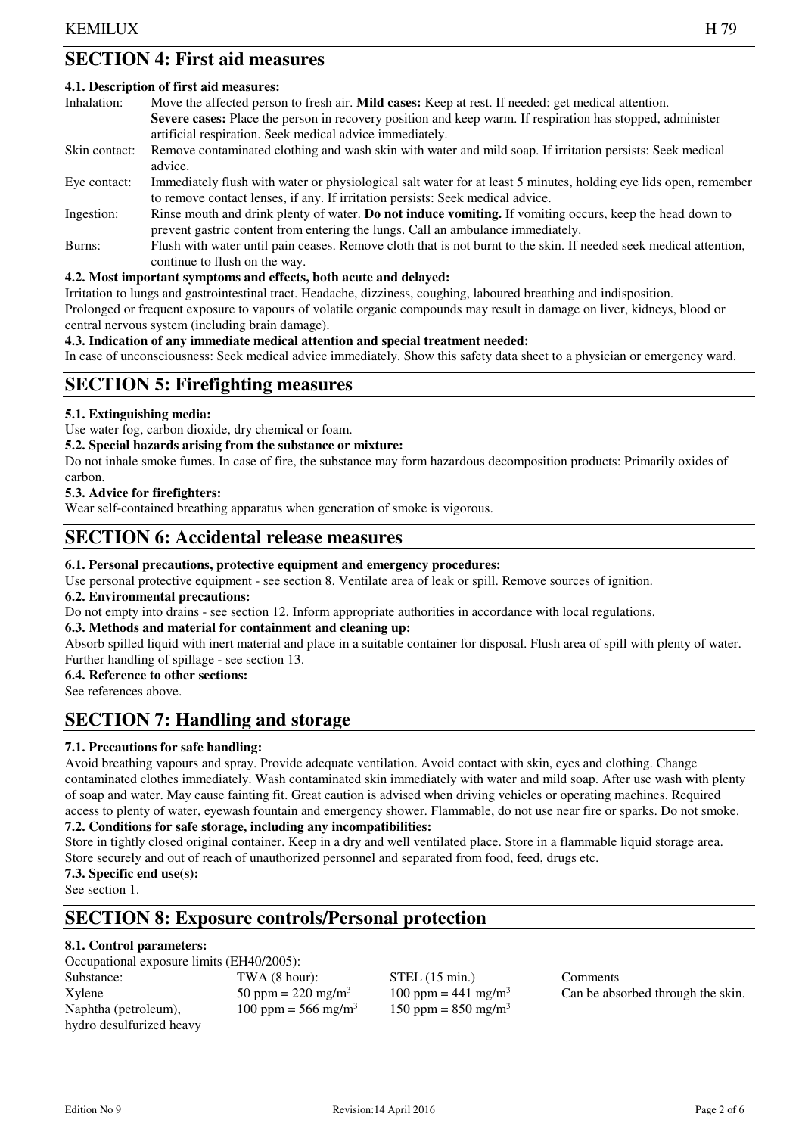# **SECTION 4: First aid measures**

#### **4.1. Description of first aid measures:**

| Inhalation:   | Move the affected person to fresh air. <b>Mild cases:</b> Keep at rest. If needed: get medical attention.         |
|---------------|-------------------------------------------------------------------------------------------------------------------|
|               | Severe cases: Place the person in recovery position and keep warm. If respiration has stopped, administer         |
|               | artificial respiration. Seek medical advice immediately.                                                          |
| Skin contact: | Remove contaminated clothing and wash skin with water and mild soap. If irritation persists: Seek medical         |
|               | advice.                                                                                                           |
| Eye contact:  | Immediately flush with water or physiological salt water for at least 5 minutes, holding eye lids open, remember  |
|               | to remove contact lenses, if any. If irritation persists: Seek medical advice.                                    |
| Ingestion:    | Rinse mouth and drink plenty of water. Do not induce vomiting. If vomiting occurs, keep the head down to          |
|               | prevent gastric content from entering the lungs. Call an ambulance immediately.                                   |
| Burns:        | Flush with water until pain ceases. Remove cloth that is not burnt to the skin. If needed seek medical attention, |
|               | continue to flush on the way.                                                                                     |

#### **4.2. Most important symptoms and effects, both acute and delayed:**

Irritation to lungs and gastrointestinal tract. Headache, dizziness, coughing, laboured breathing and indisposition.

Prolonged or frequent exposure to vapours of volatile organic compounds may result in damage on liver, kidneys, blood or central nervous system (including brain damage).

**4.3. Indication of any immediate medical attention and special treatment needed:**

In case of unconsciousness: Seek medical advice immediately. Show this safety data sheet to a physician or emergency ward.

# **SECTION 5: Firefighting measures**

#### **5.1. Extinguishing media:**

Use water fog, carbon dioxide, dry chemical or foam.

**5.2. Special hazards arising from the substance or mixture:** 

Do not inhale smoke fumes. In case of fire, the substance may form hazardous decomposition products: Primarily oxides of carbon.

#### **5.3. Advice for firefighters:**

Wear self-contained breathing apparatus when generation of smoke is vigorous.

### **SECTION 6: Accidental release measures**

#### **6.1. Personal precautions, protective equipment and emergency procedures:**

Use personal protective equipment - see section 8. Ventilate area of leak or spill. Remove sources of ignition.

#### **6.2. Environmental precautions:**

Do not empty into drains - see section 12. Inform appropriate authorities in accordance with local regulations.

#### **6.3. Methods and material for containment and cleaning up:**

Absorb spilled liquid with inert material and place in a suitable container for disposal. Flush area of spill with plenty of water. Further handling of spillage - see section 13.

#### **6.4. Reference to other sections:**

See references above.

# **SECTION 7: Handling and storage**

#### **7.1. Precautions for safe handling:**

Avoid breathing vapours and spray. Provide adequate ventilation. Avoid contact with skin, eyes and clothing. Change contaminated clothes immediately. Wash contaminated skin immediately with water and mild soap. After use wash with plenty of soap and water. May cause fainting fit. Great caution is advised when driving vehicles or operating machines. Required access to plenty of water, eyewash fountain and emergency shower. Flammable, do not use near fire or sparks. Do not smoke. **7.2. Conditions for safe storage, including any incompatibilities:** 

Store in tightly closed original container. Keep in a dry and well ventilated place. Store in a flammable liquid storage area. Store securely and out of reach of unauthorized personnel and separated from food, feed, drugs etc.

**7.3. Specific end use(s):** See section 1.

# **SECTION 8: Exposure controls/Personal protection**

#### **8.1. Control parameters:**

Occupational exposure limits (EH40/2005): Substance: TWA (8 hour): STEL (15 min.) Comments  $X$ ylene  $50 \text{ ppm} = 220 \text{ mg/m}^3$   $100 \text{ ppm} = 441 \text{ mg/m}^3$ Naphtha (petroleum),  $100 \text{ ppm} = 566 \text{ mg/m}^3$ hydro desulfurized heavy

150 ppm =  $850$  mg/m<sup>3</sup>

Can be absorbed through the skin.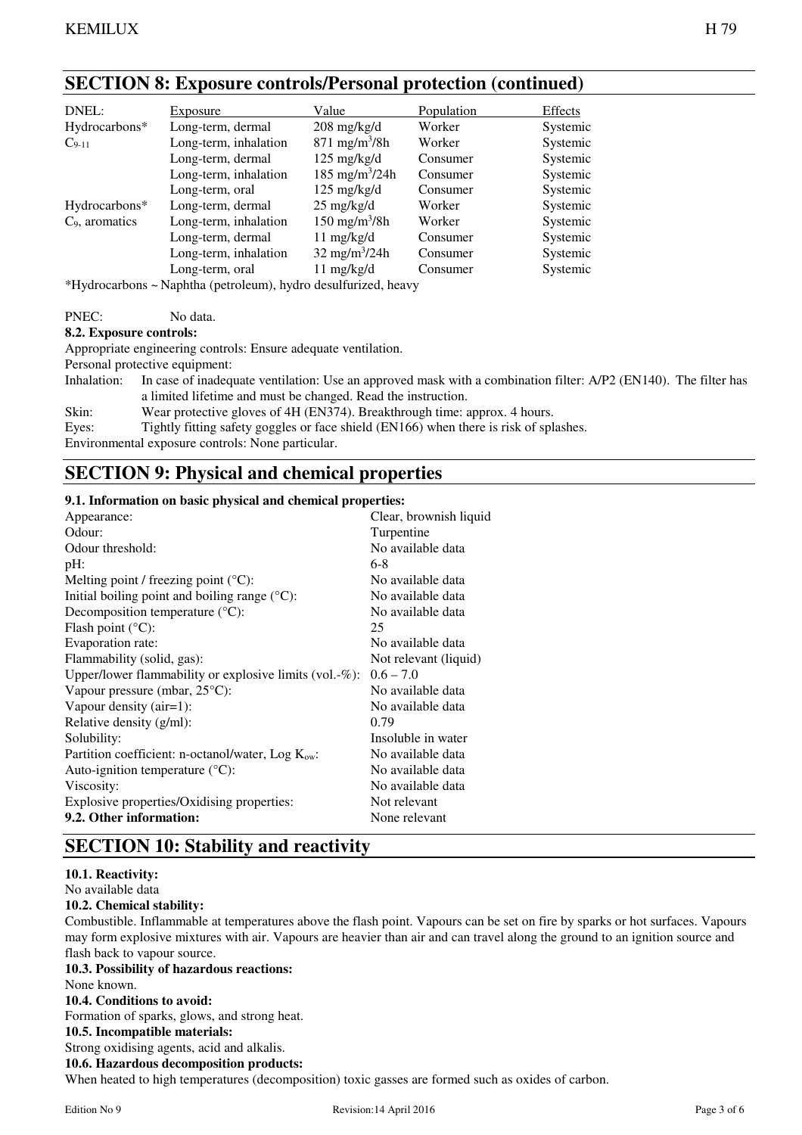# **SECTION 8: Exposure controls/Personal protection (continued)**

| DNEL:                                                                                                                                                                                                                                                                                                                                   | Exposure                                                                         | Value                             | Population | Effects  |
|-----------------------------------------------------------------------------------------------------------------------------------------------------------------------------------------------------------------------------------------------------------------------------------------------------------------------------------------|----------------------------------------------------------------------------------|-----------------------------------|------------|----------|
| Hydrocarbons*                                                                                                                                                                                                                                                                                                                           | Long-term, dermal                                                                | $208 \text{ mg/kg/d}$             | Worker     | Systemic |
| $C_{9-11}$                                                                                                                                                                                                                                                                                                                              | Long-term, inhalation                                                            | $871 \text{ mg/m}^3/8h$           | Worker     | Systemic |
|                                                                                                                                                                                                                                                                                                                                         | Long-term, dermal                                                                | $125 \text{ mg/kg/d}$             | Consumer   | Systemic |
|                                                                                                                                                                                                                                                                                                                                         | Long-term, inhalation                                                            | 185 mg/m <sup>3</sup> /24h        | Consumer   | Systemic |
|                                                                                                                                                                                                                                                                                                                                         | Long-term, oral                                                                  | $125 \text{ mg/kg/d}$             | Consumer   | Systemic |
| Hydrocarbons*                                                                                                                                                                                                                                                                                                                           | Long-term, dermal                                                                | $25 \text{ mg/kg/d}$              | Worker     | Systemic |
| $C9$ , aromatics                                                                                                                                                                                                                                                                                                                        | Long-term, inhalation                                                            | $150 \text{ mg/m}^3/8h$           | Worker     | Systemic |
|                                                                                                                                                                                                                                                                                                                                         | Long-term, dermal                                                                | $11 \text{ mg/kg/d}$              | Consumer   | Systemic |
|                                                                                                                                                                                                                                                                                                                                         | Long-term, inhalation                                                            | $32 \text{ mg/m}^3 / 24 \text{h}$ | Consumer   | Systemic |
|                                                                                                                                                                                                                                                                                                                                         | Long-term, oral                                                                  | $11 \text{ mg/kg/d}$              | Consumer   | Systemic |
| $\mathbf{A} \cdot \mathbf{Y}$ $\mathbf{Y}$ $\mathbf{Y}$ $\mathbf{Y}$ $\mathbf{Y}$ $\mathbf{Y}$ $\mathbf{Y}$ $\mathbf{Y}$ $\mathbf{Y}$ $\mathbf{Y}$ $\mathbf{Y}$ $\mathbf{Y}$ $\mathbf{Y}$ $\mathbf{Y}$ $\mathbf{Y}$ $\mathbf{Y}$ $\mathbf{Y}$ $\mathbf{Y}$ $\mathbf{Y}$ $\mathbf{Y}$ $\mathbf{Y}$ $\mathbf{Y}$ $\mathbf{Y}$ $\mathbf{Y$ | $\mathbf{M}$ and $\mathbf{M}$ and $\mathbf{M}$ and $\mathbf{M}$ and $\mathbf{M}$ |                                   |            |          |

\*Hydrocarbons ~ Naphtha (petroleum), hydro desulfurized, heavy

PNEC: No data.

#### **8.2. Exposure controls:**

Appropriate engineering controls: Ensure adequate ventilation.

Personal protective equipment:

Inhalation: In case of inadequate ventilation: Use an approved mask with a combination filter: A/P2 (EN140). The filter has a limited lifetime and must be changed. Read the instruction.

Skin: Wear protective gloves of 4H (EN374). Breakthrough time: approx. 4 hours.

Eyes: Tightly fitting safety goggles or face shield (EN166) when there is risk of splashes.

Environmental exposure controls: None particular.

# **SECTION 9: Physical and chemical properties**

#### **9.1. Information on basic physical and chemical properties:**

| -, <u>information</u> on owner partners when their charges prop |
|-----------------------------------------------------------------|
| Clear, brownish liquid                                          |
| Turpentine                                                      |
| No available data                                               |
| $6-8$                                                           |
| No available data                                               |
| No available data                                               |
| No available data                                               |
| 25                                                              |
| No available data                                               |
| Not relevant (liquid)                                           |
| $0.6 - 7.0$                                                     |
| No available data                                               |
| No available data                                               |
| 0.79                                                            |
| Insoluble in water                                              |
| No available data                                               |
| No available data                                               |
| No available data                                               |
| Not relevant                                                    |
| None relevant                                                   |
|                                                                 |

# **SECTION 10: Stability and reactivity**

#### **10.1. Reactivity:**

No available data

#### **10.2. Chemical stability:**

Combustible. Inflammable at temperatures above the flash point. Vapours can be set on fire by sparks or hot surfaces. Vapours may form explosive mixtures with air. Vapours are heavier than air and can travel along the ground to an ignition source and flash back to vapour source.

#### **10.3. Possibility of hazardous reactions:**

None known.

#### **10.4. Conditions to avoid:**

Formation of sparks, glows, and strong heat.

**10.5. Incompatible materials:** 

Strong oxidising agents, acid and alkalis.

**10.6. Hazardous decomposition products:** 

When heated to high temperatures (decomposition) toxic gasses are formed such as oxides of carbon.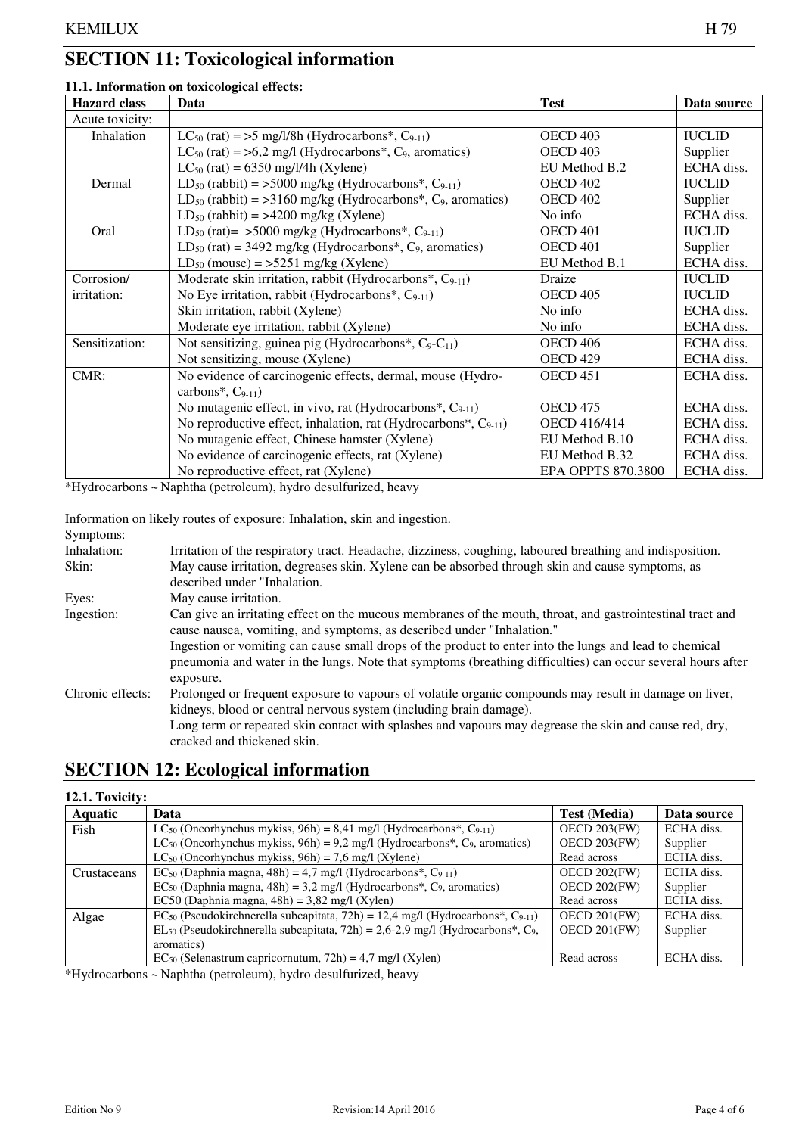# **SECTION 11: Toxicological information**

### **11.1. Information on toxicological effects:**

| <b>Hazard class</b> | Data                                                                                   | <b>Test</b>               | Data source   |
|---------------------|----------------------------------------------------------------------------------------|---------------------------|---------------|
| Acute toxicity:     |                                                                                        |                           |               |
| Inhalation          | $LC_{50}$ (rat) = >5 mg/l/8h (Hydrocarbons*, C <sub>9-11</sub> )                       | OECD <sub>403</sub>       | <b>IUCLID</b> |
|                     | $LC_{50}$ (rat) = >6,2 mg/l (Hydrocarbons*, C <sub>9</sub> , aromatics)                | OECD <sub>403</sub>       | Supplier      |
|                     | $LC_{50}$ (rat) = 6350 mg/l/4h (Xylene)                                                | EU Method B.2             | ECHA diss.    |
| Dermal              | $LD_{50}$ (rabbit) = >5000 mg/kg (Hydrocarbons*, $C_{9-11}$ )                          | OECD <sub>402</sub>       | <b>IUCLID</b> |
|                     | $LD_{50}$ (rabbit) = >3160 mg/kg (Hydrocarbons*, C <sub>9</sub> , aromatics)           | OECD <sub>402</sub>       | Supplier      |
|                     | $LD_{50}$ (rabbit) = >4200 mg/kg (Xylene)                                              | No info                   | ECHA diss.    |
| Oral                | LD <sub>50</sub> (rat)= $>5000$ mg/kg (Hydrocarbons <sup>*</sup> , C <sub>9-11</sub> ) | OECD 401                  | <b>IUCLID</b> |
|                     | $LD_{50}$ (rat) = 3492 mg/kg (Hydrocarbons*, C <sub>9</sub> , aromatics)               | OECD 401                  | Supplier      |
|                     | $LD_{50}$ (mouse) = >5251 mg/kg (Xylene)                                               | EU Method B.1             | ECHA diss.    |
| Corrosion/          | Moderate skin irritation, rabbit (Hydrocarbons*, $C_{9-11}$ )                          | Draize                    | <b>IUCLID</b> |
| irritation:         | No Eye irritation, rabbit (Hydrocarbons*, $C_{9-11}$ )                                 | OECD <sub>405</sub>       | <b>IUCLID</b> |
|                     | Skin irritation, rabbit (Xylene)                                                       | No info                   | ECHA diss.    |
|                     | Moderate eye irritation, rabbit (Xylene)                                               | No info                   | ECHA diss.    |
| Sensitization:      | Not sensitizing, guinea pig (Hydrocarbons*, $C_9 - C_{11}$ )                           | <b>OECD 406</b>           | ECHA diss.    |
|                     | Not sensitizing, mouse (Xylene)                                                        | OECD <sub>429</sub>       | ECHA diss.    |
| CMR:                | No evidence of carcinogenic effects, dermal, mouse (Hydro-                             | OECD <sub>451</sub>       | ECHA diss.    |
|                     | carbons*, $C_{9-11}$ )                                                                 |                           |               |
|                     | No mutagenic effect, in vivo, rat (Hydrocarbons*, $C_{9-11}$ )                         | <b>OECD 475</b>           | ECHA diss.    |
|                     | No reproductive effect, inhalation, rat (Hydrocarbons*, $C_{9-11}$ )                   | OECD 416/414              | ECHA diss.    |
|                     | No mutagenic effect, Chinese hamster (Xylene)                                          | EU Method B.10            | ECHA diss.    |
|                     | No evidence of carcinogenic effects, rat (Xylene)                                      | EU Method B.32            | ECHA diss.    |
|                     | No reproductive effect, rat (Xylene)                                                   | <b>EPA OPPTS 870.3800</b> | ECHA diss.    |

\*Hydrocarbons ~ Naphtha (petroleum), hydro desulfurized, heavy

Information on likely routes of exposure: Inhalation, skin and ingestion.

| Symptoms:        |                                                                                                                                                                                                                                     |
|------------------|-------------------------------------------------------------------------------------------------------------------------------------------------------------------------------------------------------------------------------------|
| Inhalation:      | Irritation of the respiratory tract. Headache, dizziness, coughing, laboured breathing and indisposition.                                                                                                                           |
| Skin:            | May cause irritation, degreases skin. Xylene can be absorbed through skin and cause symptoms, as<br>described under "Inhalation.                                                                                                    |
| Eyes:            | May cause irritation.                                                                                                                                                                                                               |
| Ingestion:       | Can give an irritating effect on the mucous membranes of the mouth, throat, and gastrointestinal tract and<br>cause nausea, vomiting, and symptoms, as described under "Inhalation."                                                |
|                  | Ingestion or vomiting can cause small drops of the product to enter into the lungs and lead to chemical<br>pneumonia and water in the lungs. Note that symptoms (breathing difficulties) can occur several hours after<br>exposure. |
| Chronic effects: | Prolonged or frequent exposure to vapours of volatile organic compounds may result in damage on liver,<br>kidneys, blood or central nervous system (including brain damage).                                                        |
|                  | Long term or repeated skin contact with splashes and vapours may degrease the skin and cause red, dry,<br>cracked and thickened skin.                                                                                               |

# **SECTION 12: Ecological information**

| 12.1. Toxicity: |                                                                                                                     |                     |             |  |  |  |
|-----------------|---------------------------------------------------------------------------------------------------------------------|---------------------|-------------|--|--|--|
| <b>Aquatic</b>  | Data                                                                                                                | <b>Test</b> (Media) | Data source |  |  |  |
| Fish            | LC <sub>50</sub> (Oncorhynchus mykiss, 96h) = 8,41 mg/l (Hydrocarbons <sup>*</sup> , C <sub>9-11</sub> )            | OECD $203$ (FW)     | ECHA diss.  |  |  |  |
|                 | LC <sub>50</sub> (Oncorhynchus mykiss, $96h$ ) = 9,2 mg/l (Hydrocarbons*, C <sub>9</sub> , aromatics)               | $OECD 203$ (FW)     | Supplier    |  |  |  |
|                 | LC <sub>50</sub> (Oncorhynchus mykiss, $96h$ ) = 7,6 mg/l (Xylene)                                                  | Read across         | ECHA diss.  |  |  |  |
| Crustaceans     | $EC_{50}$ (Daphnia magna, 48h) = 4,7 mg/l (Hydrocarbons*, C <sub>9-11</sub> )                                       | OECD $202$ (FW)     | ECHA diss.  |  |  |  |
|                 | $EC_{50}$ (Daphnia magna, 48h) = 3,2 mg/l (Hydrocarbons*, C <sub>9</sub> , aromatics)                               | $OECD 202$ (FW)     | Supplier    |  |  |  |
|                 | EC50 (Daphnia magna, $48h$ ) = 3,82 mg/l (Xylen)                                                                    | Read across         | ECHA diss.  |  |  |  |
| Algae           | EC <sub>50</sub> (Pseudokirchnerella subcapitata, 72h) = 12,4 mg/l (Hydrocarbons*, C <sub>9-11</sub> )              | $OECD 201$ (FW)     | ECHA diss.  |  |  |  |
|                 | EL <sub>50</sub> (Pseudokirchnerella subcapitata, 72h) = 2,6-2,9 mg/l (Hydrocarbons <sup>*</sup> , C <sub>9</sub> , | $OECD 201$ (FW)     | Supplier    |  |  |  |
|                 | aromatics)                                                                                                          |                     |             |  |  |  |
|                 | $EC_{50}$ (Selenastrum capricornutum, 72h) = 4,7 mg/l (Xylen)                                                       | Read across         | ECHA diss.  |  |  |  |

\*Hydrocarbons ~ Naphtha (petroleum), hydro desulfurized, heavy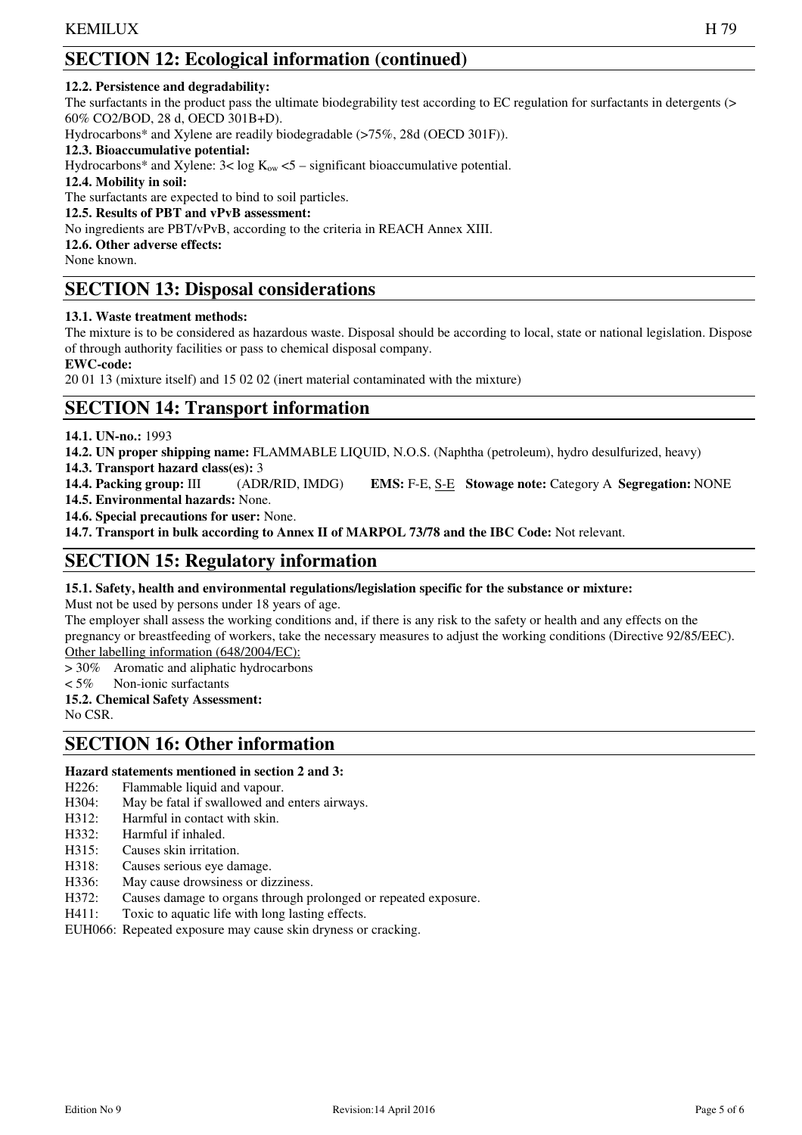# **SECTION 12: Ecological information (continued)**

#### **12.2. Persistence and degradability:**

The surfactants in the product pass the ultimate biodegrability test according to EC regulation for surfactants in detergents (> 60% CO2/BOD, 28 d, OECD 301B+D).

Hydrocarbons\* and Xylene are readily biodegradable (>75%, 28d (OECD 301F)).

#### **12.3. Bioaccumulative potential:**

Hydrocarbons\* and Xylene:  $3 < \log K_{ow} < 5 -$  significant bioaccumulative potential.

**12.4. Mobility in soil:** 

The surfactants are expected to bind to soil particles.

**12.5. Results of PBT and vPvB assessment:** 

No ingredients are PBT/vPvB, according to the criteria in REACH Annex XIII.

#### **12.6. Other adverse effects:**

None known.

# **SECTION 13: Disposal considerations**

#### **13.1. Waste treatment methods:**

The mixture is to be considered as hazardous waste. Disposal should be according to local, state or national legislation. Dispose of through authority facilities or pass to chemical disposal company.

**EWC-code:** 

20 01 13 (mixture itself) and 15 02 02 (inert material contaminated with the mixture)

# **SECTION 14: Transport information**

**14.1. UN-no.:** 1993

**14.2. UN proper shipping name:** FLAMMABLE LIQUID, N.O.S. (Naphtha (petroleum), hydro desulfurized, heavy)

**14.3. Transport hazard class(es):** 3

**14.4. Packing group:** III (ADR/RID, IMDG) **EMS:** F-E, S-E **Stowage note:** Category A **Segregation:** NONE

**14.5. Environmental hazards:** None.

**14.6. Special precautions for user:** None.

**14.7. Transport in bulk according to Annex II of MARPOL 73/78 and the IBC Code:** Not relevant.

# **SECTION 15: Regulatory information**

#### **15.1. Safety, health and environmental regulations/legislation specific for the substance or mixture:**

Must not be used by persons under 18 years of age.

The employer shall assess the working conditions and, if there is any risk to the safety or health and any effects on the pregnancy or breastfeeding of workers, take the necessary measures to adjust the working conditions (Directive 92/85/EEC). Other labelling information (648/2004/EC):

> 30% Aromatic and aliphatic hydrocarbons

 $< 5\%$  Non-ionic surfactants

**15.2. Chemical Safety Assessment:** 

No CSR.

# **SECTION 16: Other information**

#### **Hazard statements mentioned in section 2 and 3:**

- H<sub>226</sub>: Flammable liquid and vapour.
- H304: May be fatal if swallowed and enters airways.
- H312: Harmful in contact with skin.
- H332: Harmful if inhaled.
- H315: Causes skin irritation.
- H318: Causes serious eye damage.
- H336: May cause drowsiness or dizziness.
- H372: Causes damage to organs through prolonged or repeated exposure.
- H411: Toxic to aquatic life with long lasting effects.

EUH066: Repeated exposure may cause skin dryness or cracking.